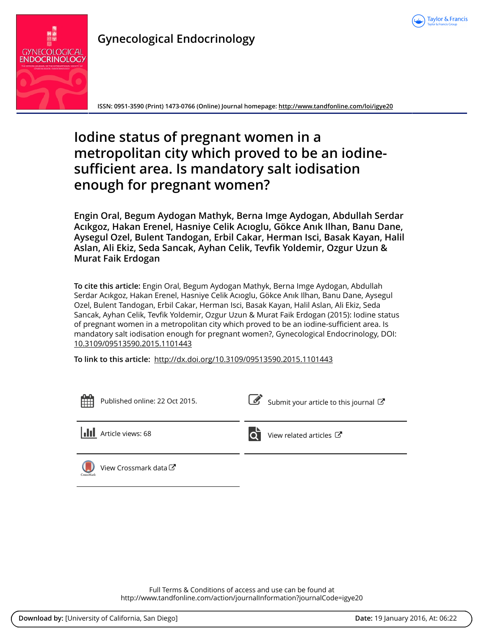

**ISSN: 0951-3590 (Print) 1473-0766 (Online) Journal homepage:<http://www.tandfonline.com/loi/igye20>**

# **Iodine status of pregnant women in a metropolitan city which proved to be an iodinesufficient area. Is mandatory salt iodisation enough for pregnant women?**

**Engin Oral, Begum Aydogan Mathyk, Berna Imge Aydogan, Abdullah Serdar Acıkgoz, Hakan Erenel, Hasniye Celik Acıoglu, Gökce Anık Ilhan, Banu Dane, Aysegul Ozel, Bulent Tandogan, Erbil Cakar, Herman Isci, Basak Kayan, Halil Aslan, Ali Ekiz, Seda Sancak, Ayhan Celik, Tevfik Yoldemir, Ozgur Uzun & Murat Faik Erdogan**

**To cite this article:** Engin Oral, Begum Aydogan Mathyk, Berna Imge Aydogan, Abdullah Serdar Acıkgoz, Hakan Erenel, Hasniye Celik Acıoglu, Gökce Anık Ilhan, Banu Dane, Aysegul Ozel, Bulent Tandogan, Erbil Cakar, Herman Isci, Basak Kayan, Halil Aslan, Ali Ekiz, Seda Sancak, Ayhan Celik, Tevfik Yoldemir, Ozgur Uzun & Murat Faik Erdogan (2015): Iodine status of pregnant women in a metropolitan city which proved to be an iodine-sufficient area. Is mandatory salt iodisation enough for pregnant women?, Gynecological Endocrinology, DOI: [10.3109/09513590.2015.1101443](http://www.tandfonline.com/action/showCitFormats?doi=10.3109/09513590.2015.1101443)

**To link to this article:** <http://dx.doi.org/10.3109/09513590.2015.1101443>



Full Terms & Conditions of access and use can be found at <http://www.tandfonline.com/action/journalInformation?journalCode=igye20>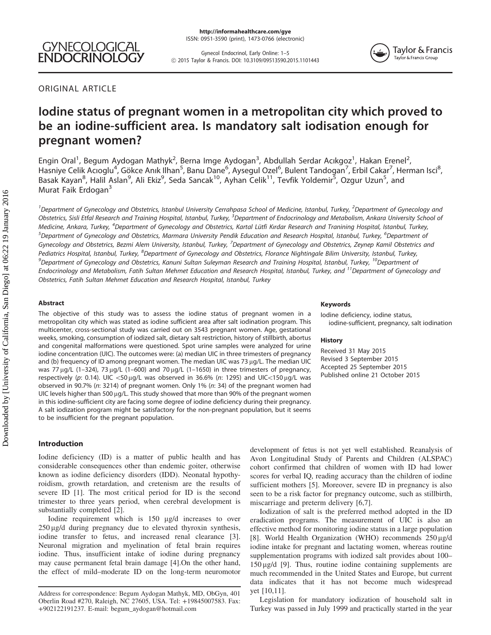Gynecol Endocrinol, Early Online: 1–5 ! 2015 Taylor & Francis. DOI: 10.3109/09513590.2015.1101443



ORIGINAL ARTICLE

# Iodine status of pregnant women in a metropolitan city which proved to be an iodine-sufficient area. Is mandatory salt iodisation enough for pregnant women?

Engin Oral<sup>1</sup>, Begum Aydogan Mathyk<sup>2</sup>, Berna Imge Aydogan<sup>3</sup>, Abdullah Serdar Acıkgoz<sup>1</sup>, Hakan Erenel<sup>2</sup>, Hasniye Celik Acıoglu<sup>4</sup>, Gökce Anık İlhan<sup>5</sup>, Banu Dane<sup>6</sup>, Aysegul Ozel<sup>6</sup>, Bulent Tandogan<sup>7</sup>, Erbil Cakar<sup>7</sup>, Herman Isci<sup>8</sup>, Basak Kayan<sup>8</sup>, Halil Aslan<sup>9</sup>, Ali Ekiz<sup>9</sup>, Seda Sancak<sup>10</sup>, Ayhan Celik<sup>11</sup>, Tevfik Yoldemir<sup>5</sup>, Ozgur Uzun<sup>5</sup>, and Murat Faik Erdogan<sup>3</sup>

<sup>1</sup> Department of Gynecology and Obstetrics, Istanbul University Cerrahpasa School of Medicine, Istanbul, Turkey, <sup>2</sup> Department of Gynecology and Obstetrics, Sisli Etfal Research and Training Hospital, Istanbul, Turkey, <sup>3</sup>Department of Endocrinology and Metabolism, Ankara University School of Medicine, Ankara, Turkey, <sup>4</sup>Department of Gynecology and Obstetrics, Kartal Lütfi Kırdar Research and Tranining Hospital, Istanbul, Turkey, <sup>5</sup>Department of Gynecology and Obstetrics, Marmara University Pendik Education and Research Hospital, Istanbul, Turkey, <sup>6</sup>Department of Gynecology and Obstetrics, Bezmi Alem University, Istanbul, Turkey, <sup>7</sup>Department of Gynecology and Obstetrics, Zeynep Kamil Obstetrics and Pediatrics Hospital, Istanbul, Turkey, <sup>8</sup>Department of Gynecology and Obstetrics, Florance Nightingale Bilim University, Istanbul, Turkey, <sup>9</sup>Department of Gynecology and Obstetrics, Kanuni Sultan Suleyman Research and Training Hospital, Istanbul, Turkey, <sup>10</sup>Department of Endocrinology and Metabolism, Fatih Sultan Mehmet Education and Research Hospital, Istanbul, Turkey, and <sup>11</sup>Department of Gynecology and Obstetrics, Fatih Sultan Mehmet Education and Research Hospital, Istanbul, Turkey

#### Abstract

The objective of this study was to assess the iodine status of pregnant women in a metropolitan city which was stated as iodine sufficient area after salt iodination program. This multicenter, cross-sectional study was carried out on 3543 pregnant women. Age, gestational weeks, smoking, consumption of iodized salt, dietary salt restriction, history of stillbirth, abortus and congenital malformations were questioned. Spot urine samples were analyzed for urine iodine concentration (UIC). The outcomes were: (a) median UIC in three trimesters of pregnancy and (b) frequency of ID among pregnant women. The median UIC was  $73 \mu q/L$ . The median UIC was 77  $\mu$ g/L (1–324), 73  $\mu$ g/L (1–600) and 70  $\mu$ g/L (1–1650) in three trimesters of pregnancy, respectively (p: 0.14). UIC <50 µg/L was observed in 36.6% (n: 1295) and UIC<150 µg/L was observed in 90.7% (n: 3214) of pregnant women. Only 1% (n: 34) of the pregnant women had UIC levels higher than 500 µg/L. This study showed that more than 90% of the pregnant women in this iodine-sufficient city are facing some degree of iodine deficiency during their pregnancy. A salt iodization program might be satisfactory for the non-pregnant population, but it seems to be insufficient for the pregnant population.

# Introduction

Iodine deficiency (ID) is a matter of public health and has considerable consequences other than endemic goiter, otherwise known as iodine deficiency disorders (IDD). Neonatal hypothyroidism, growth retardation, and cretenism are the results of severe ID [[1\]](#page-4-0). The most critical period for ID is the second trimester to three years period, when cerebral development is substantially completed [[2](#page-4-0)].

Iodine requirement which is 150 µg/d increases to over  $250 \mu g/d$  during pregnancy due to elevated thyroxin synthesis, iodine transfer to fetus, and increased renal clearance [[3](#page-4-0)]. Neuronal migration and myelination of fetal brain requires iodine. Thus, insufficient intake of iodine during pregnancy may cause permanent fetal brain damage [[4\]](#page-4-0).On the other hand, the effect of mild–moderate ID on the long-term neuromotor

# Keywords

Iodine deficiency, iodine status, iodine-sufficient, pregnancy, salt iodination

#### **History**

Received 31 May 2015 Revised 3 September 2015 Accepted 25 September 2015 Published online 21 October 2015

development of fetus is not yet well established. Reanalysis of Avon Longitudinal Study of Parents and Children (ALSPAC) cohort confirmed that children of women with ID had lower scores for verbal IQ, reading accuracy than the children of iodine sufficient mothers [\[5\]](#page-4-0). Moreover, severe ID in pregnancy is also seen to be a risk factor for pregnancy outcome, such as stillbirth, miscarriage and preterm delivery [[6](#page-4-0),[7](#page-4-0)].

Iodization of salt is the preferred method adopted in the ID eradication programs. The measurement of UIC is also an effective method for monitoring iodine status in a large population [[8\]](#page-4-0). World Health Organization (WHO) recommends  $250 \mu g/d$ iodine intake for pregnant and lactating women, whereas routine supplementation programs with iodized salt provides about 100–  $150 \mu g/d$  [[9\]](#page-4-0). Thus, routine iodine containing supplements are much recommended in the United States and Europe, but current data indicates that it has not become much widespread yet [[10,11\]](#page-4-0).

Legislation for mandatory iodization of household salt in Turkey was passed in July 1999 and practically started in the year

Address for correspondence: Begum Aydogan Mathyk, MD, ObGyn, 401 Oberlin Road #270, Raleigh, NC 27605, USA. Tel: +19845007583. Fax: +902122191237. E-mail: begum\_aydogan@hotmail.com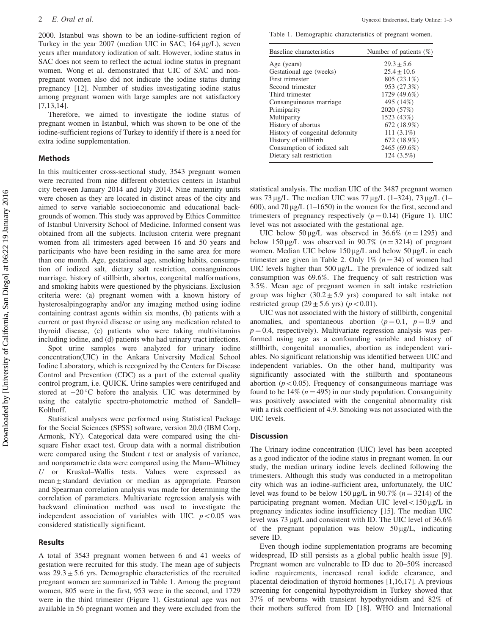2000. Istanbul was shown to be an iodine-sufficient region of Turkey in the year  $2007$  (median UIC in SAC;  $164 \mu g/L$ ), seven years after mandatory iodization of salt. However, iodine status in SAC does not seem to reflect the actual iodine status in pregnant women. Wong et al. demonstrated that UIC of SAC and nonpregnant women also did not indicate the iodine status during pregnancy [\[12\]](#page-4-0). Number of studies investigating iodine status among pregnant women with large samples are not satisfactory [\[7,13,14](#page-4-0)].

Therefore, we aimed to investigate the iodine status of pregnant women in Istanbul, which was shown to be one of the iodine-sufficient regions of Turkey to identify if there is a need for extra iodine supplementation.

# Methods

In this multicenter cross-sectional study, 3543 pregnant women were recruited from nine different obstetrics centers in Istanbul city between January 2014 and July 2014. Nine maternity units were chosen as they are located in distinct areas of the city and aimed to serve variable socioeconomic and educational backgrounds of women. This study was approved by Ethics Committee of Istanbul University School of Medicine. Informed consent was obtained from all the subjects. Inclusion criteria were pregnant women from all trimesters aged between 16 and 50 years and participants who have been residing in the same area for more than one month. Age, gestational age, smoking habits, consumption of iodized salt, dietary salt restriction, consanguineous marriage, history of stillbirth, abortus, congenital malformations, and smoking habits were questioned by the physicians. Exclusion criteria were: (a) pregnant women with a known history of hysterosalpingography and/or any imaging method using iodine containing contrast agents within six months, (b) patients with a current or past thyroid disease or using any medication related to thyroid disease, (c) patients who were taking multivitamins including iodine, and (d) patients who had urinary tract infections.

Spot urine samples were analyzed for urinary iodine concentration(UIC) in the Ankara University Medical School Iodine Laboratory, which is recognized by the Centers for Disease Control and Prevention (CDC) as a part of the external quality control program, i.e. QUICK. Urine samples were centrifuged and stored at  $-20$  °C before the analysis. UIC was determined by using the catalytic spectro-photometric method of Sandell– Kolthoff.

Statistical analyses were performed using Statistical Package for the Social Sciences (SPSS) software, version 20.0 (IBM Corp, Armonk, NY). Categorical data were compared using the chisquare Fisher exact test. Group data with a normal distribution were compared using the Student  $t$  test or analysis of variance, and nonparametric data were compared using the Mann–Whitney U or Kruskal–Wallis tests. Values were expressed as mean ± standard deviation or median as appropriate. Pearson and Spearman correlation analysis was made for determining the correlation of parameters. Multivariate regression analysis with backward elimination method was used to investigate the independent association of variables with UIC.  $p < 0.05$  was considered statistically significant.

#### Results

A total of 3543 pregnant women between 6 and 41 weeks of gestation were recruited for this study. The mean age of subjects was  $29.3 \pm 5.6$  yrs. Demographic characteristics of the recruited pregnant women are summarized in Table 1. Among the pregnant women, 805 were in the first, 953 were in the second, and 1729 were in the third trimester ([Figure 1](#page-3-0)). Gestational age was not available in 56 pregnant women and they were excluded from the

Table 1. Demographic characteristics of pregnant women.

| Baseline characteristics        | Number of patients $(\%)$ |  |
|---------------------------------|---------------------------|--|
| Age (years)                     | $29.3 + 5.6$              |  |
| Gestational age (weeks)         | $25.4 + 10.6$             |  |
| First trimester                 | 805 (23.1%)               |  |
| Second trimester                | 953 (27.3%)               |  |
| Third trimester                 | 1729 (49.6%)              |  |
| Consanguineous marriage         | 495 (14%)                 |  |
| Primiparity                     | 2020 (57%)                |  |
| Multiparity                     | 1523 (43%)                |  |
| History of abortus              | 672 (18.9%)               |  |
| History of congenital deformity | 111 $(3.1\%)$             |  |
| History of stillbirth           | 672 (18.9%)               |  |
| Consumption of iodized salt     | 2465 (69.6%)              |  |
| Dietary salt restriction        | 124 (3.5%)                |  |

statistical analysis. The median UIC of the 3487 pregnant women was 73 µg/L. The median UIC was 77 µg/L  $(1-324)$ , 73 µg/L  $(1-$ 600), and 70  $\mu$ g/L (1–1650) in the women for the first, second and trimesters of pregnancy respectively  $(p = 0.14)$  ([Figure 1](#page-3-0)). UIC level was not associated with the gestational age.

UIC below 50 µg/L was observed in 36.6% ( $n = 1295$ ) and below 150 µg/L was observed in 90.7% ( $n = 3214$ ) of pregnant women. Median UIC below  $150 \mu g/L$  and below  $50 \mu g/L$  in each trimester are given in [Table 2.](#page-3-0) Only 1%  $(n = 34)$  of women had UIC levels higher than  $500 \mu g/L$ . The prevalence of iodized salt consumption was 69.6%. The frequency of salt restriction was 3.5%. Mean age of pregnant women in salt intake restriction group was higher  $(30.2 \pm 5.9 \text{ yrs})$  compared to salt intake not restricted group  $(29 \pm 5.6 \text{ yrs})$  ( $p < 0.01$ ).

UIC was not associated with the history of stillbirth, congenital anomalies, and spontaneous abortion ( $p = 0.1$ ,  $p = 0.9$  and  $p = 0.4$ , respectively). Multivariate regression analysis was performed using age as a confounding variable and history of stillbirth, congenital anomalies, abortion as independent variables. No significant relationship was identified between UIC and independent variables. On the other hand, multiparity was significantly associated with the stillbirth and spontaneous abortion ( $p<0.05$ ). Frequency of consanguineous marriage was found to be 14% ( $n = 495$ ) in our study population. Consanguinity was positively associated with the congenital abnormality risk with a risk coefficient of 4.9. Smoking was not associated with the UIC levels.

# **Discussion**

The Urinary iodine concentration (UIC) level has been accepted as a good indicator of the iodine status in pregnant women. In our study, the median urinary iodine levels declined following the trimesters. Although this study was conducted in a metropolitan city which was an iodine-sufficient area, unfortunately, the UIC level was found to be below 150 µg/L in 90.7% ( $n = 3214$ ) of the participating pregnant women. Median UIC level  $<$  150  $\mu$ g/L in pregnancy indicates iodine insufficiency [\[15\]](#page-4-0). The median UIC level was 73 µg/L and consistent with ID. The UIC level of 36.6% of the pregnant population was below  $50 \mu g/L$ , indicating severe ID.

Even though iodine supplementation programs are becoming widespread, ID still persists as a global public health issue [[9](#page-4-0)]. Pregnant women are vulnerable to ID due to 20–50% increased iodine requirements, increased renal iodide clearance, and placental deiodination of thyroid hormones [[1,16](#page-4-0),[17](#page-4-0)]. A previous screening for congenital hypothyroidism in Turkey showed that 37% of newborns with transient hypothyroidism and 82% of their mothers suffered from ID [[18](#page-4-0)]. WHO and International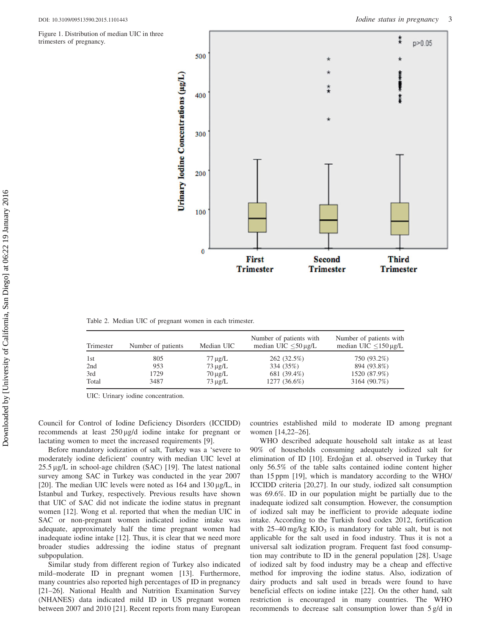<span id="page-3-0"></span>Figure 1. Distribution of median UIC in three trimesters of pregnancy.



Table 2. Median UIC of pregnant women in each trimester.

| Trimester | Number of patients | Median UIC   | Number of patients with<br>median UIC $\leq$ 50 µg/L | Number of patients with<br>median UIC $\leq$ 150 µg/L |
|-----------|--------------------|--------------|------------------------------------------------------|-------------------------------------------------------|
| 1st       | 805                | $77 \mu$ g/L | 262 (32.5%)                                          | 750 (93.2%)                                           |
| 2nd       | 953                | $73 \mu g/L$ | 334 (35%)                                            | 894 (93.8%)                                           |
| 3rd       | 1729               | $70 \mu$ g/L | 681 (39.4%)                                          | 1520 (87.9%)                                          |
| Total     | 3487               | $73 \mu$ g/L | 1277 (36.6%)                                         | 3164 (90.7%)                                          |

UIC: Urinary iodine concentration.

Council for Control of Iodine Deficiency Disorders (ICCIDD) recommends at least  $250 \mu g/d$  iodine intake for pregnant or lactating women to meet the increased requirements [[9](#page-4-0)].

Before mandatory iodization of salt, Turkey was a 'severe to moderately iodine deficient' country with median UIC level at  $25.5 \mu g/L$  in school-age children (SAC) [\[19\]](#page-4-0). The latest national survey among SAC in Turkey was conducted in the year 2007 [\[20](#page-4-0)]. The median UIC levels were noted as  $164$  and  $130 \mu g/L$ , in Istanbul and Turkey, respectively. Previous results have shown that UIC of SAC did not indicate the iodine status in pregnant women [\[12](#page-4-0)]. Wong et al. reported that when the median UIC in SAC or non-pregnant women indicated iodine intake was adequate, approximately half the time pregnant women had inadequate iodine intake [\[12\]](#page-4-0). Thus, it is clear that we need more broader studies addressing the iodine status of pregnant subpopulation.

Similar study from different region of Turkey also indicated mild–moderate ID in pregnant women [[13](#page-4-0)]. Furthermore, many countries also reported high percentages of ID in pregnancy [\[21–26\]](#page-4-0). National Health and Nutrition Examination Survey (NHANES) data indicated mild ID in US pregnant women between 2007 and 2010 [[21\]](#page-4-0). Recent reports from many European countries established mild to moderate ID among pregnant women [[14](#page-4-0),[22–26](#page-4-0)].

WHO described adequate household salt intake as at least 90% of households consuming adequately iodized salt for elimination of ID [[10](#page-4-0)]. Erdoğan et al. observed in Turkey that only 56.5% of the table salts contained iodine content higher than 15 ppm [\[19\]](#page-4-0), which is mandatory according to the WHO/ ICCIDD criteria [[20](#page-4-0),[27](#page-5-0)]. In our study, iodized salt consumption was 69.6%. ID in our population might be partially due to the inadequate iodized salt consumption. However, the consumption of iodized salt may be inefficient to provide adequate iodine intake. According to the Turkish food codex 2012, fortification with  $25-40$  mg/kg KIO<sub>3</sub> is mandatory for table salt, but is not applicable for the salt used in food industry. Thus it is not a universal salt iodization program. Frequent fast food consumption may contribute to ID in the general population [[28](#page-5-0)]. Usage of iodized salt by food industry may be a cheap and effective method for improving the iodine status. Also, iodization of dairy products and salt used in breads were found to have beneficial effects on iodine intake [[22](#page-4-0)]. On the other hand, salt restriction is encouraged in many countries. The WHO recommends to decrease salt consumption lower than 5 g/d in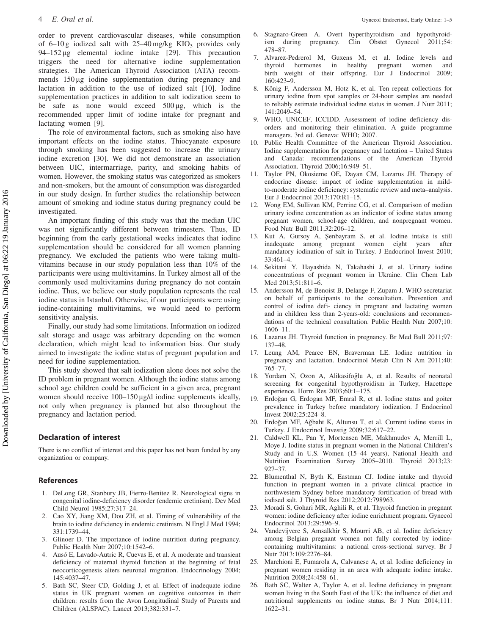<span id="page-4-0"></span>order to prevent cardiovascular diseases, while consumption of  $6-10$  g iodized salt with  $25-40$  mg/kg KIO<sub>3</sub> provides only  $94-152 \,\mu g$  elemental iodine intake [[29\]](#page-5-0). This precaution triggers the need for alternative iodine supplementation strategies. The American Thyroid Association (ATA) recommends  $150 \mu$ g iodine supplementation during pregnancy and lactation in addition to the use of iodized salt [10]. Iodine supplementation practices in addition to salt iodization seem to be safe as none would exceed  $500 \mu g$ , which is the recommended upper limit of iodine intake for pregnant and lactating women [9].

The role of environmental factors, such as smoking also have important effects on the iodine status. Thiocyanate exposure through smoking has been suggested to increase the urinary iodine excretion [[30](#page-5-0)]. We did not demonstrate an association between UIC, intermarriage, parity, and smoking habits of women. However, the smoking status was categorized as smokers and non-smokers, but the amount of consumption was disregarded in our study design. In further studies the relationship between amount of smoking and iodine status during pregnancy could be investigated.

An important finding of this study was that the median UIC was not significantly different between trimesters. Thus, ID beginning from the early gestational weeks indicates that iodine supplementation should be considered for all women planning pregnancy. We excluded the patients who were taking multivitamins because in our study population less than 10% of the participants were using multivitamins. In Turkey almost all of the commonly used multivitamins during pregnancy do not contain iodine. Thus, we believe our study population represents the real iodine status in Istanbul. Otherwise, if our participants were using iodine-containing multivitamins, we would need to perform sensitivity analysis.

Finally, our study had some limitations. Information on iodized salt storage and usage was arbitrary depending on the women declaration, which might lead to information bias. Our study aimed to investigate the iodine status of pregnant population and need for iodine supplementation.

This study showed that salt iodization alone does not solve the ID problem in pregnant women. Although the iodine status among school age children could be sufficient in a given area, pregnant women should receive  $100-150 \mu g/d$  iodine supplements ideally, not only when pregnancy is planned but also throughout the pregnancy and lactation period.

# Declaration of interest

There is no conflict of interest and this paper has not been funded by any organization or company.

#### References

- 1. DeLong GR, Stanbury JB, Fierro-Benitez R. Neurological signs in congenital iodine-deficiency disorder (endemic cretinism). Dev Med Child Neurol 1985;27:317–24.
- 2. Cao XY, Jiang XM, Dou ZH, et al. Timing of vulnerability of the brain to iodine deficiency in endemic cretinism. N Engl J Med 1994; 331:1739–44.
- 3. Glinoer D. The importance of iodine nutrition during pregnancy. Public Health Nutr 2007;10:1542–6.
- 4. Ausó E, Lavado-Autric R, Cuevas E, et al. A moderate and transient deficiency of maternal thyroid function at the beginning of fetal neocorticogenesis alters neuronal migration. Endocrinology 2004; 145:4037–47.
- 5. Bath SC, Steer CD, Golding J, et al. Effect of inadequate iodine status in UK pregnant women on cognitive outcomes in their children: results from the Avon Longitudinal Study of Parents and Children (ALSPAC). Lancet 2013;382:331–7.
- 6. Stagnaro-Green A. Overt hyperthyroidism and hypothyroidism during pregnancy. Clin Obstet Gynecol 2011;54: 478–87.
- 7. Alvarez-Pedrerol M, Guxens M, et al. Iodine levels and thyroid hormones in healthy pregnant women and birth weight of their offspring. Eur J Endocrinol 2009; 160:423–9.
- 8. König F, Andersson M, Hotz K, et al. Ten repeat collections for urinary iodine from spot samples or 24-hour samples are needed to reliably estimate individual iodine status in women. J Nutr 2011; 141:2049–54.
- 9. WHO, UNICEF, ICCIDD. Assessment of iodine deficiency disorders and monitoring their elimination. A guide programme managers. 3rd ed. Geneva: WHO; 2007.
- 10. Public Health Committee of the American Thyroid Association. Iodine supplementation for pregnancy and lactation – United States and Canada: recommendations of the American Thyroid Association. Thyroid 2006;16:949–51.
- 11. Taylor PN, Okosieme OE, Dayan CM, Lazarus JH. Therapy of endocrine disease: impact of iodine supplementation in mildto-moderate iodine deficiency: systematic review and meta–analysis. Eur J Endocrinol 2013;170:R1–15.
- 12. Wong EM, Sullivan KM, Perrine CG, et al. Comparison of median urinary iodine concentration as an indicator of iodine status among pregnant women, school-age children, and nonpregnant women. Food Nutr Bull 2011;32:206–12.
- 13. Kut A, Gursoy A, Şenbayram S, et al. Iodine intake is still inadequate among pregnant women eight years after mandatory iodination of salt in Turkey. J Endocrinol Invest 2010; 33:461–4.
- 14. Sekitani Y, Hayashida N, Takahashi J, et al. Urinary iodine concentrations of pregnant women in Ukraine. Clin Chem Lab Med 2013;51:811–6.
- 15. Andersson M, de Benoist B, Delange F, Zupam J. WHO secretariat on behalf of participants to the consultation. Prevention and control of iodine defi- ciency in pregnant and lactating women and in children less than 2-years-old: conclusions and recommendations of the technical consultation. Public Health Nutr 2007;10: 1606–11.
- 16. Lazarus JH. Thyroid function in pregnancy. Br Med Bull 2011;97: 137–48.
- 17. Leung AM, Pearce EN, Braverman LE. Iodine nutrition in pregnancy and lactation. Endocrinol Metab Clin N Am 2011;40: 765–77.
- 18. Yordam N, Ozon A, Alikasifoğlu A, et al. Results of neonatal screening for congenital hypothyroidism in Turkey, Hacettepe experience. Horm Res 2003;60:1–175.
- 19. Erdoğan G, Erdogan MF, Emral R, et al. Iodine status and goiter prevalence in Turkey before mandatory iodization. J Endocrinol Invest 2002;25:224–8.
- 20. Erdoğan MF, Ağbaht K, Altunsu T, et al. Current iodine status in Turkey. J Endocrinol Investig 2009;32:617–22.
- 21. Caldwell KL, Pan Y, Mortensen ME, Makhmudov A, Merrill L, Moye J. Iodine status in pregnant women in the National Children's Study and in U.S. Women (15–44 years), National Health and Nutrition Examination Survey 2005–2010. Thyroid 2013;23: 927–37.
- 22. Blumenthal N, Byth K, Eastman CJ. Iodine intake and thyroid function in pregnant women in a private clinical practice in northwestern Sydney before mandatory fortification of bread with iodised salt. J Thyroid Res 2012;2012:798963.
- 23. Moradi S, Gohari MR, Aghili R, et al. Thyroid function in pregnant women: iodine deficiency after iodine enrichment program. Gynecol Endocrinol 2013;29:596–9.
- 24. Vandevijvere S, Amsalkhir S, Mourri AB, et al. Iodine deficiency among Belgian pregnant women not fully corrected by iodinecontaining multivitamins: a national cross-sectional survey. Br J Nutr 2013;109:2276–84.
- 25. Marchioni E, Fumarola A, Calvanese A, et al. Iodine deficiency in pregnant women residing in an area with adequate iodine intake. Nutrition 2008;24:458–61.
- 26. Bath SC, Walter A, Taylor A, et al. Iodine deficiency in pregnant women living in the South East of the UK: the influence of diet and nutritional supplements on iodine status. Br J Nutr 2014;111: 1622–31.